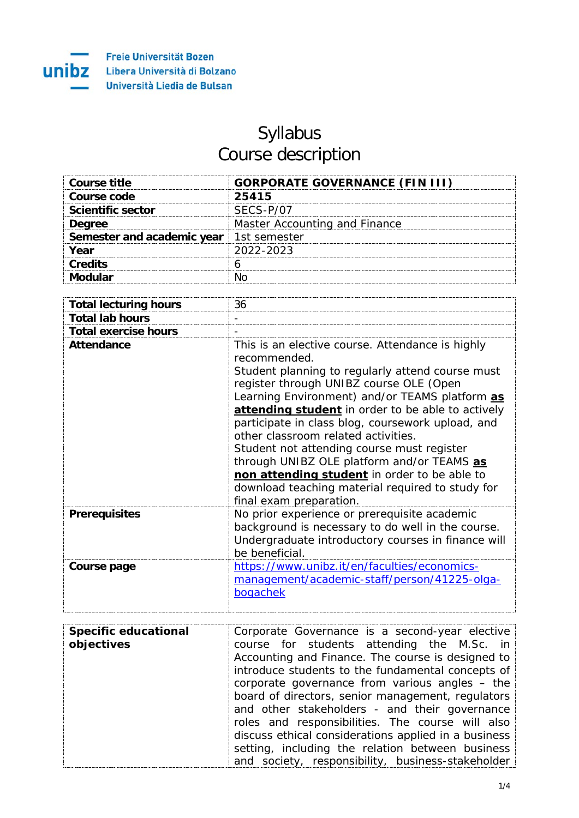## Syllabus Course description

| <b>Course title</b>                            | <b>GORPORATE GOVERNANCE (FIN III)</b> |
|------------------------------------------------|---------------------------------------|
| Course code                                    | 25415                                 |
| <b>Scientific sector</b>                       | SECS-P/07                             |
| <b>Degree</b>                                  | Master Accounting and Finance         |
| <b>Semester and academic year</b> 1st semester |                                       |
| Vear                                           | 2022-2023                             |
| Credits                                        |                                       |
|                                                |                                       |

| <b>Total lecturing hours</b> | 36                                                                                                                                                                                                                                                                                                                                                                                                                                                                                                                                                                                            |
|------------------------------|-----------------------------------------------------------------------------------------------------------------------------------------------------------------------------------------------------------------------------------------------------------------------------------------------------------------------------------------------------------------------------------------------------------------------------------------------------------------------------------------------------------------------------------------------------------------------------------------------|
| <b>Total lab hours</b>       |                                                                                                                                                                                                                                                                                                                                                                                                                                                                                                                                                                                               |
| <b>Total exercise hours</b>  |                                                                                                                                                                                                                                                                                                                                                                                                                                                                                                                                                                                               |
| <b>Attendance</b>            | This is an elective course. Attendance is highly<br>recommended.<br>Student planning to regularly attend course must<br>register through UNIBZ course OLE (Open<br>Learning Environment) and/or TEAMS platform as<br>attending student in order to be able to actively<br>participate in class blog, coursework upload, and<br>other classroom related activities.<br>Student not attending course must register<br>through UNIBZ OLE platform and/or TEAMS as<br>non attending student in order to be able to<br>download teaching material required to study for<br>final exam preparation. |
| <b>Prerequisites</b>         | No prior experience or prerequisite academic<br>background is necessary to do well in the course.<br>Undergraduate introductory courses in finance will<br>be beneficial.                                                                                                                                                                                                                                                                                                                                                                                                                     |
| Course page                  | https://www.unibz.it/en/faculties/economics-<br>management/academic-staff/person/41225-olga-<br>bogachek                                                                                                                                                                                                                                                                                                                                                                                                                                                                                      |

| <b>Specific educational</b><br>objectives | Corporate Governance is a second-year elective<br>course for students attending the M.Sc. in |
|-------------------------------------------|----------------------------------------------------------------------------------------------|
|                                           |                                                                                              |
|                                           | Accounting and Finance. The course is designed to                                            |
|                                           | introduce students to the fundamental concepts of                                            |
|                                           | corporate governance from various angles – the                                               |
|                                           | board of directors, senior management, regulators                                            |
|                                           | and other stakeholders - and their governance                                                |
|                                           | roles and responsibilities. The course will also                                             |
|                                           | discuss ethical considerations applied in a business                                         |
|                                           | setting, including the relation between business                                             |
|                                           | and society, responsibility, business-stakeholder                                            |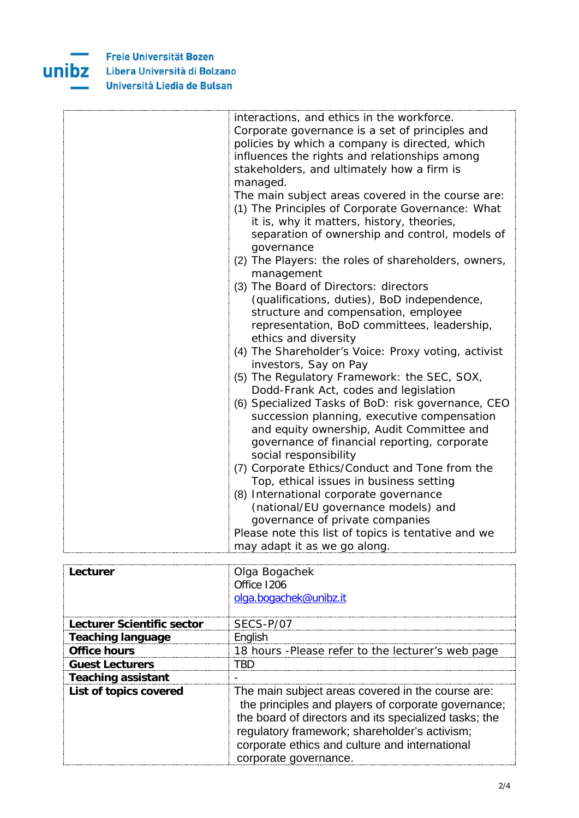

|  | interactions, and ethics in the workforce.          |
|--|-----------------------------------------------------|
|  | Corporate governance is a set of principles and     |
|  | policies by which a company is directed, which      |
|  | influences the rights and relationships among       |
|  | stakeholders, and ultimately how a firm is          |
|  | managed.                                            |
|  | The main subject areas covered in the course are:   |
|  | (1) The Principles of Corporate Governance: What    |
|  | it is, why it matters, history, theories,           |
|  | separation of ownership and control, models of      |
|  | governance                                          |
|  | (2) The Players: the roles of shareholders, owners, |
|  | management                                          |
|  | (3) The Board of Directors: directors               |
|  | (qualifications, duties), BoD independence,         |
|  | structure and compensation, employee                |
|  | representation, BoD committees, leadership,         |
|  | ethics and diversity                                |
|  | (4) The Shareholder's Voice: Proxy voting, activist |
|  | investors, Say on Pay                               |
|  | (5) The Regulatory Framework: the SEC, SOX,         |
|  | Dodd-Frank Act, codes and legislation               |
|  | (6) Specialized Tasks of BoD: risk governance, CEO  |
|  | succession planning, executive compensation         |
|  | and equity ownership, Audit Committee and           |
|  | governance of financial reporting, corporate        |
|  | social responsibility                               |
|  | (7) Corporate Ethics/Conduct and Tone from the      |
|  | Top, ethical issues in business setting             |
|  | (8) International corporate governance              |
|  | (national/EU governance models) and                 |
|  | governance of private companies                     |
|  | Please note this list of topics is tentative and we |
|  | may adapt it as we go along.                        |
|  |                                                     |

| Lecturer                   | Olga Bogachek<br>Office 1206<br>olga.bogachek@unibz.it                                                                                                                                                                                                                                        |
|----------------------------|-----------------------------------------------------------------------------------------------------------------------------------------------------------------------------------------------------------------------------------------------------------------------------------------------|
| Lecturer Scientific sector | SECS-P/07                                                                                                                                                                                                                                                                                     |
| <b>Teaching language</b>   | English                                                                                                                                                                                                                                                                                       |
| <b>Office hours</b>        | 18 hours - Please refer to the lecturer's web page                                                                                                                                                                                                                                            |
| <b>Guest Lecturers</b>     | TBD                                                                                                                                                                                                                                                                                           |
| <b>Teaching assistant</b>  |                                                                                                                                                                                                                                                                                               |
| List of topics covered     | The main subject areas covered in the course are:<br>the principles and players of corporate governance;<br>the board of directors and its specialized tasks; the<br>regulatory framework; shareholder's activism;<br>corporate ethics and culture and international<br>corporate governance. |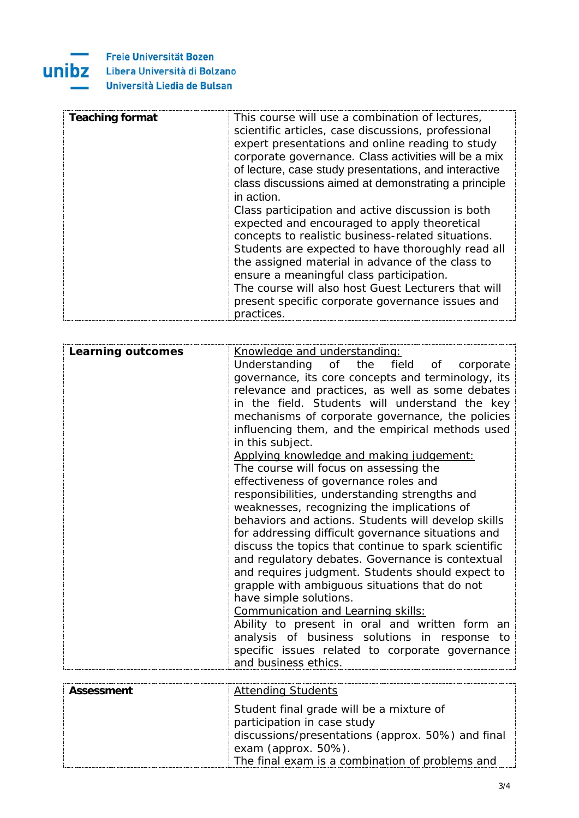

| <b>Teaching format</b> | This course will use a combination of lectures,<br>scientific articles, case discussions, professional<br>expert presentations and online reading to study<br>corporate governance. Class activities will be a mix<br>of lecture, case study presentations, and interactive<br>class discussions aimed at demonstrating a principle<br>in action.<br>Class participation and active discussion is both<br>expected and encouraged to apply theoretical<br>concepts to realistic business-related situations.<br>Students are expected to have thoroughly read all<br>the assigned material in advance of the class to<br>ensure a meaningful class participation.<br>The course will also host Guest Lecturers that will<br>present specific corporate governance issues and |
|------------------------|------------------------------------------------------------------------------------------------------------------------------------------------------------------------------------------------------------------------------------------------------------------------------------------------------------------------------------------------------------------------------------------------------------------------------------------------------------------------------------------------------------------------------------------------------------------------------------------------------------------------------------------------------------------------------------------------------------------------------------------------------------------------------|
|                        | practices.                                                                                                                                                                                                                                                                                                                                                                                                                                                                                                                                                                                                                                                                                                                                                                   |

| Learning outcomes | Knowledge and understanding:                         |
|-------------------|------------------------------------------------------|
|                   | Understanding of the field of corporate              |
|                   | governance, its core concepts and terminology, its   |
|                   | relevance and practices, as well as some debates     |
|                   | in the field. Students will understand the key       |
|                   | mechanisms of corporate governance, the policies     |
|                   | influencing them, and the empirical methods used     |
|                   | in this subject.                                     |
|                   | Applying knowledge and making judgement:             |
|                   | The course will focus on assessing the               |
|                   | effectiveness of governance roles and                |
|                   | responsibilities, understanding strengths and        |
|                   | weaknesses, recognizing the implications of          |
|                   | behaviors and actions. Students will develop skills  |
|                   | for addressing difficult governance situations and   |
|                   | discuss the topics that continue to spark scientific |
|                   | and regulatory debates. Governance is contextual     |
|                   | and requires judgment. Students should expect to     |
|                   | grapple with ambiguous situations that do not        |
|                   | have simple solutions.                               |
|                   | Communication and Learning skills:                   |
|                   | Ability to present in oral and written form an       |
|                   | analysis of business solutions in response to        |
|                   | specific issues related to corporate governance      |
|                   | and business ethics.                                 |
|                   |                                                      |

| <b>Assessment</b> | <b>Attending Students</b>                         |
|-------------------|---------------------------------------------------|
|                   | Student final grade will be a mixture of          |
|                   | participation in case study                       |
|                   | discussions/presentations (approx. 50%) and final |
|                   | exam (approx. 50%).                               |
|                   | The final exam is a combination of problems and   |